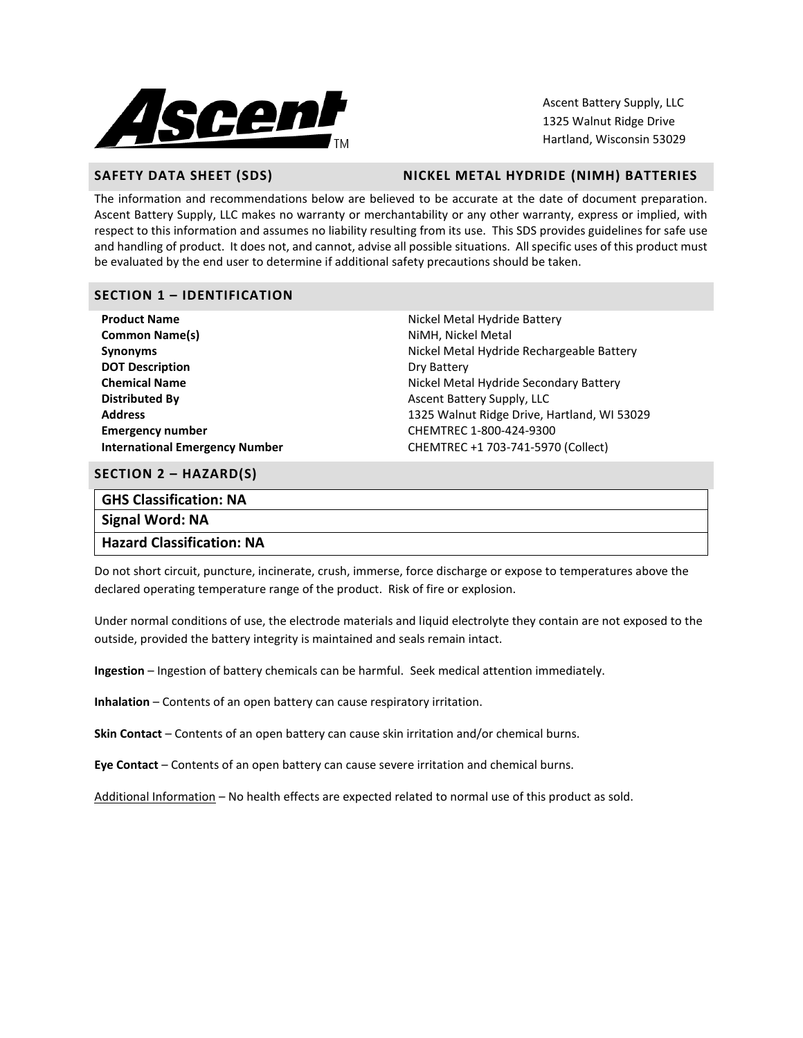

Ascent Battery Supply, LLC 1325 Walnut Ridge Drive Hartland, Wisconsin 53029

### **SAFETY DATA SHEET (SDS)** NICKEL METAL HYDRIDE (NIMH) BATTERIES

The information and recommendations below are believed to be accurate at the date of document preparation. Ascent Battery Supply, LLC makes no warranty or merchantability or any other warranty, express or implied, with respect to this information and assumes no liability resulting from its use. This SDS provides guidelines for safe use and handling of product. It does not, and cannot, advise all possible situations. All specific uses of this product must be evaluated by the end user to determine if additional safety precautions should be taken.

### **SECTION 1 – IDENTIFICATION**

| <b>Product Name</b>                   | Nickel Meta        |
|---------------------------------------|--------------------|
| <b>Common Name(s)</b>                 | NiMH, Nick         |
| <b>Synonyms</b>                       | Nickel Meta        |
| <b>DOT Description</b>                | Dry Battery        |
| <b>Chemical Name</b>                  | Nickel Meta        |
| <b>Distributed By</b>                 | <b>Ascent Batt</b> |
| <b>Address</b>                        | 1325 Walnu         |
| <b>Emergency number</b>               | <b>CHEMTREC</b>    |
| <b>International Emergency Number</b> | <b>CHEMTREC</b>    |

**Product Aletal Hydride Battery Iickel Metal Retal Hydride Rechargeable Battery Aetal Hydride Secondary Battery Battery Supply, LLC Address** 1325 Walnut Ridge Drive, Hartland, WI 53029 **Emergency number** CHEMTREC 1-800-424-9300 **REC +1 703-741-5970 (Collect)** 

#### **SECTION 2 – HAZARD(S)**

| <b>GHS Classification: NA</b> |
|-------------------------------|
| Signal Word: NA               |
| Hazard Classification: NA     |

Do not short circuit, puncture, incinerate, crush, immerse, force discharge or expose to temperatures above the declared operating temperature range of the product. Risk of fire or explosion.

Under normal conditions of use, the electrode materials and liquid electrolyte they contain are not exposed to the outside, provided the battery integrity is maintained and seals remain intact.

**Ingestion** – Ingestion of battery chemicals can be harmful. Seek medical attention immediately.

**Inhalation** – Contents of an open battery can cause respiratory irritation.

**Skin Contact** – Contents of an open battery can cause skin irritation and/or chemical burns.

**Eye Contact** – Contents of an open battery can cause severe irritation and chemical burns.

Additional Information – No health effects are expected related to normal use of this product as sold.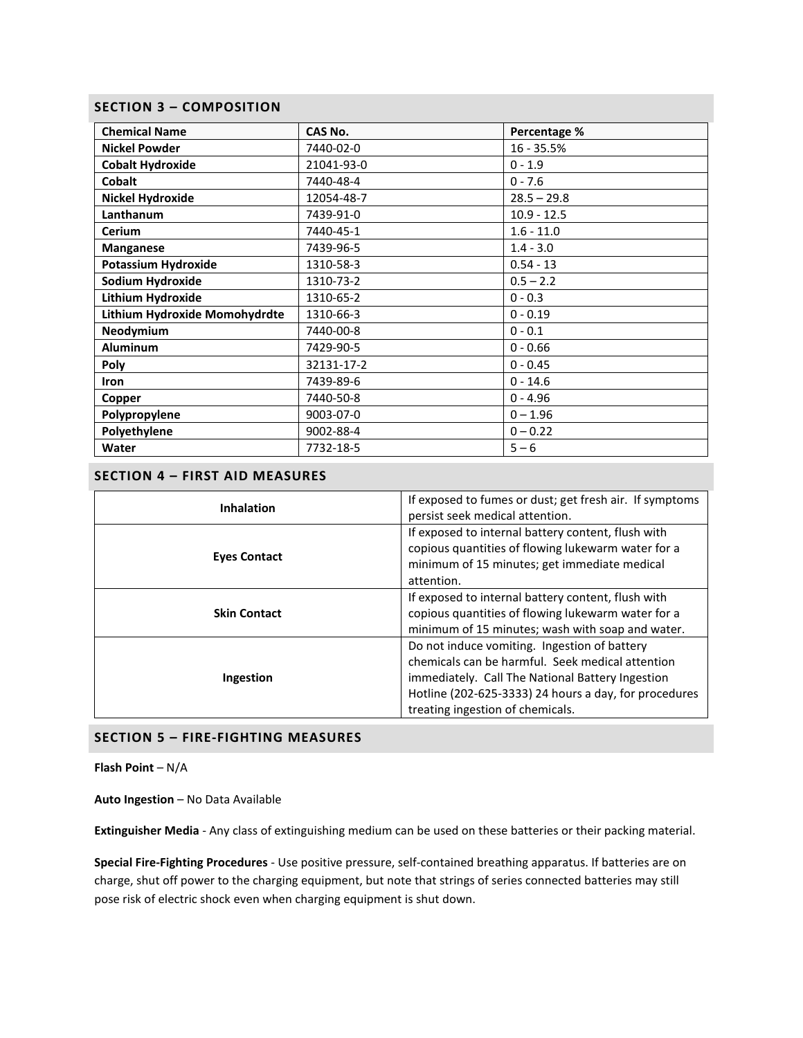#### **SECTION 3 – COMPOSITION**

| <b>Chemical Name</b>          | CAS No.    | Percentage %  |  |
|-------------------------------|------------|---------------|--|
| <b>Nickel Powder</b>          | 7440-02-0  | $16 - 35.5%$  |  |
| <b>Cobalt Hydroxide</b>       | 21041-93-0 | $0 - 1.9$     |  |
| <b>Cobalt</b>                 | 7440-48-4  | $0 - 7.6$     |  |
| <b>Nickel Hydroxide</b>       | 12054-48-7 | $28.5 - 29.8$ |  |
| Lanthanum                     | 7439-91-0  | $10.9 - 12.5$ |  |
| <b>Cerium</b>                 | 7440-45-1  | $1.6 - 11.0$  |  |
| <b>Manganese</b>              | 7439-96-5  | $1.4 - 3.0$   |  |
| <b>Potassium Hydroxide</b>    | 1310-58-3  | $0.54 - 13$   |  |
| Sodium Hydroxide              | 1310-73-2  | $0.5 - 2.2$   |  |
| Lithium Hydroxide             | 1310-65-2  | $0 - 0.3$     |  |
| Lithium Hydroxide Momohydrdte | 1310-66-3  | $0 - 0.19$    |  |
| Neodymium                     | 7440-00-8  | $0 - 0.1$     |  |
| <b>Aluminum</b>               | 7429-90-5  | $0 - 0.66$    |  |
| <b>Poly</b>                   | 32131-17-2 | $0 - 0.45$    |  |
| <b>Iron</b>                   | 7439-89-6  | $0 - 14.6$    |  |
| Copper                        | 7440-50-8  | $0 - 4.96$    |  |
| Polypropylene                 | 9003-07-0  | $0 - 1.96$    |  |
| Polyethylene                  | 9002-88-4  | $0 - 0.22$    |  |
| Water                         | 7732-18-5  | $5 - 6$       |  |

# **SECTION 4 – FIRST AID MEASURES**

| <b>Inhalation</b>   | If exposed to fumes or dust; get fresh air. If symptoms<br>persist seek medical attention.                                                                                                                                                        |  |
|---------------------|---------------------------------------------------------------------------------------------------------------------------------------------------------------------------------------------------------------------------------------------------|--|
| <b>Eyes Contact</b> | If exposed to internal battery content, flush with<br>copious quantities of flowing lukewarm water for a<br>minimum of 15 minutes; get immediate medical<br>attention.                                                                            |  |
| <b>Skin Contact</b> | If exposed to internal battery content, flush with<br>copious quantities of flowing lukewarm water for a<br>minimum of 15 minutes; wash with soap and water.                                                                                      |  |
| Ingestion           | Do not induce vomiting. Ingestion of battery<br>chemicals can be harmful. Seek medical attention<br>immediately. Call The National Battery Ingestion<br>Hotline (202-625-3333) 24 hours a day, for procedures<br>treating ingestion of chemicals. |  |

## **SECTION 5 – FIRE-FIGHTING MEASURES**

**Flash Point** – N/A

**Auto Ingestion** – No Data Available

**Extinguisher Media** - Any class of extinguishing medium can be used on these batteries or their packing material.

**Special Fire-Fighting Procedures** - Use positive pressure, self-contained breathing apparatus. If batteries are on charge, shut off power to the charging equipment, but note that strings of series connected batteries may still pose risk of electric shock even when charging equipment is shut down.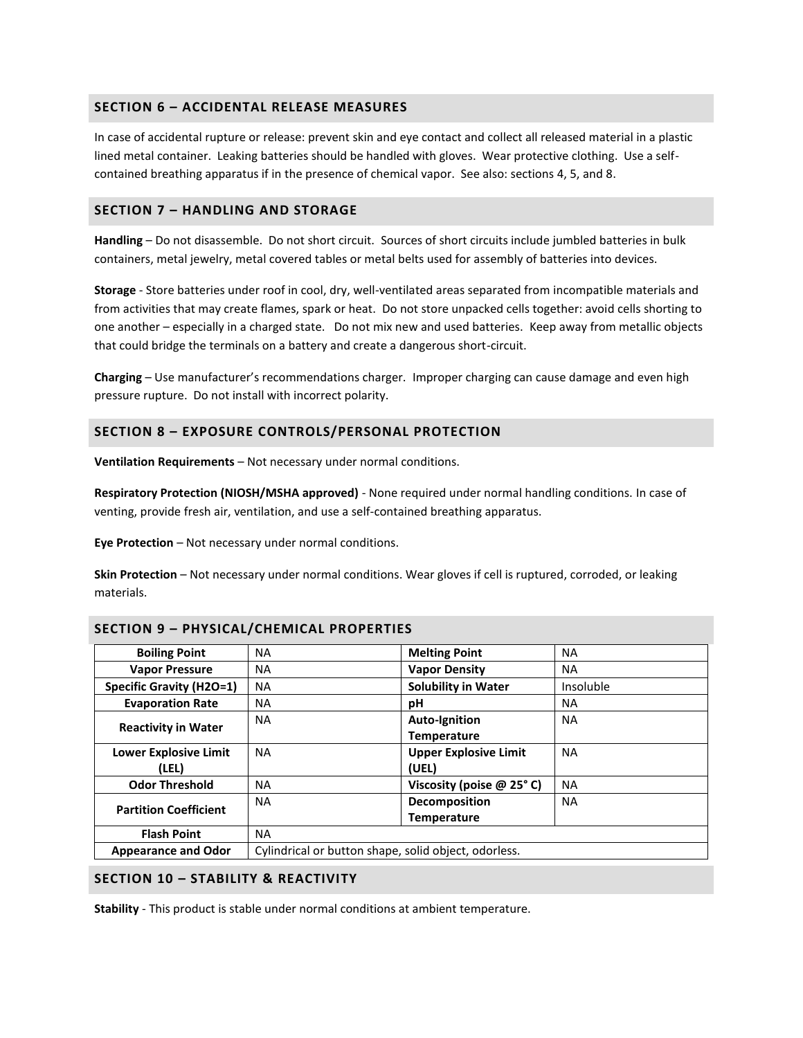#### **SECTION 6 – ACCIDENTAL RELEASE MEASURES**

In case of accidental rupture or release: prevent skin and eye contact and collect all released material in a plastic lined metal container. Leaking batteries should be handled with gloves. Wear protective clothing. Use a selfcontained breathing apparatus if in the presence of chemical vapor. See also: sections 4, 5, and 8.

#### **SECTION 7 – HANDLING AND STORAGE**

**Handling** – Do not disassemble. Do not short circuit. Sources of short circuits include jumbled batteries in bulk containers, metal jewelry, metal covered tables or metal belts used for assembly of batteries into devices.

**Storage** - Store batteries under roof in cool, dry, well-ventilated areas separated from incompatible materials and from activities that may create flames, spark or heat. Do not store unpacked cells together: avoid cells shorting to one another – especially in a charged state. Do not mix new and used batteries. Keep away from metallic objects that could bridge the terminals on a battery and create a dangerous short-circuit.

**Charging** – Use manufacturer's recommendations charger. Improper charging can cause damage and even high pressure rupture. Do not install with incorrect polarity.

#### **SECTION 8 – EXPOSURE CONTROLS/PERSONAL PROTECTION**

**Ventilation Requirements** – Not necessary under normal conditions.

**Respiratory Protection (NIOSH/MSHA approved)** - None required under normal handling conditions. In case of venting, provide fresh air, ventilation, and use a self-contained breathing apparatus.

**Eye Protection** – Not necessary under normal conditions.

**Skin Protection** – Not necessary under normal conditions. Wear gloves if cell is ruptured, corroded, or leaking materials.

| <b>Boiling Point</b>            | NA                                                   | <b>Melting Point</b>           | <b>NA</b> |
|---------------------------------|------------------------------------------------------|--------------------------------|-----------|
| <b>Vapor Pressure</b>           | NA                                                   | <b>Vapor Density</b>           | <b>NA</b> |
| <b>Specific Gravity (H2O=1)</b> | <b>NA</b>                                            | <b>Solubility in Water</b>     | Insoluble |
| <b>Evaporation Rate</b>         | <b>NA</b>                                            | рH                             | ΝA        |
| <b>Reactivity in Water</b>      | <b>NA</b>                                            | <b>Auto-Ignition</b>           | <b>NA</b> |
|                                 |                                                      | <b>Temperature</b>             |           |
| <b>Lower Explosive Limit</b>    | <b>NA</b>                                            | <b>Upper Explosive Limit</b>   | <b>NA</b> |
| (LEL)                           |                                                      | (UEL)                          |           |
| <b>Odor Threshold</b>           | <b>NA</b>                                            | Viscosity (poise $@$ 25 $°$ C) | <b>NA</b> |
| <b>Partition Coefficient</b>    | <b>NA</b>                                            | <b>Decomposition</b>           | <b>NA</b> |
|                                 |                                                      | <b>Temperature</b>             |           |
| <b>Flash Point</b>              | NA.                                                  |                                |           |
| <b>Appearance and Odor</b>      | Cylindrical or button shape, solid object, odorless. |                                |           |

## **SECTION 9 – PHYSICAL/CHEMICAL PROPERTIES**

#### **SECTION 10 – STABILITY & REACTIVITY**

**Stability** - This product is stable under normal conditions at ambient temperature.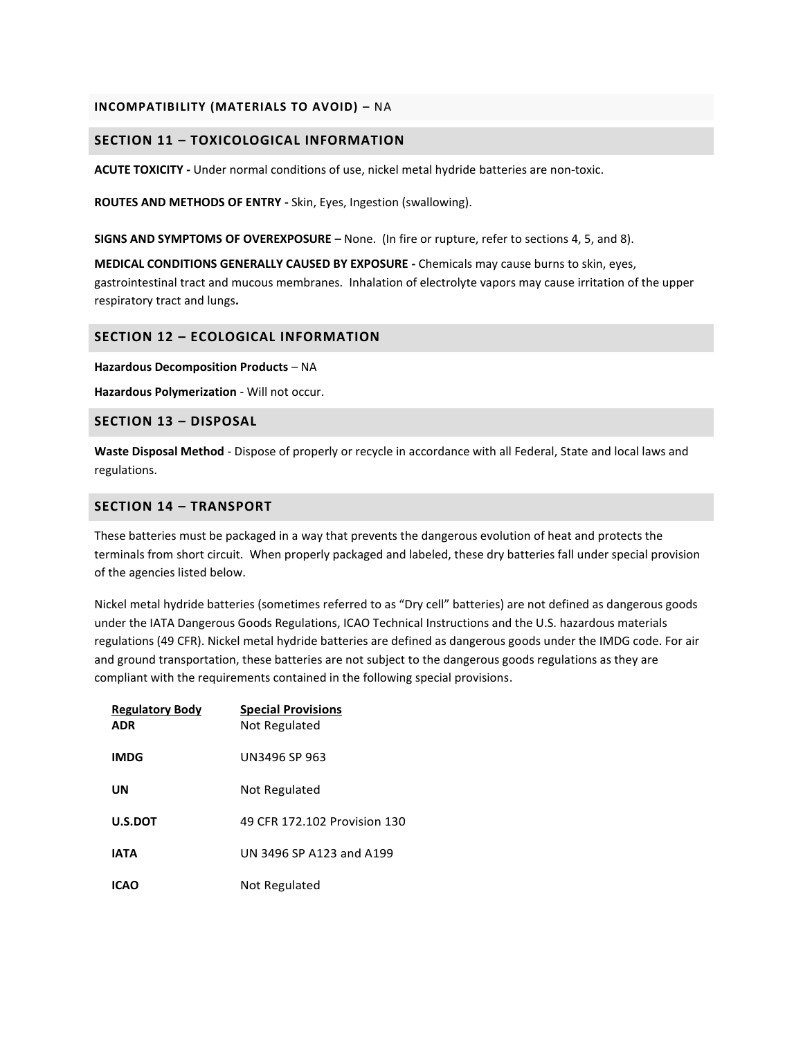#### **INCOMPATIBILITY (MATERIALS TO AVOID) –** NA

#### **SECTION 11 – TOXICOLOGICAL INFORMATION**

**ACUTE TOXICITY -** Under normal conditions of use, nickel metal hydride batteries are non-toxic.

**ROUTES AND METHODS OF ENTRY -** Skin, Eyes, Ingestion (swallowing).

**SIGNS AND SYMPTOMS OF OVEREXPOSURE –** None. (In fire or rupture, refer to sections 4, 5, and 8).

**MEDICAL CONDITIONS GENERALLY CAUSED BY EXPOSURE -** Chemicals may cause burns to skin, eyes, gastrointestinal tract and mucous membranes. Inhalation of electrolyte vapors may cause irritation of the upper respiratory tract and lungs**.**

#### **SECTION 12 – ECOLOGICAL INFORMATION**

**Hazardous Decomposition Products** – NA

**Hazardous Polymerization** - Will not occur.

#### **SECTION 13 – DISPOSAL**

**Waste Disposal Method** - Dispose of properly or recycle in accordance with all Federal, State and local laws and regulations.

#### **SECTION 14 – TRANSPORT**

These batteries must be packaged in a way that prevents the dangerous evolution of heat and protects the terminals from short circuit. When properly packaged and labeled, these dry batteries fall under special provision of the agencies listed below.

Nickel metal hydride batteries (sometimes referred to as "Dry cell" batteries) are not defined as dangerous goods under the IATA Dangerous Goods Regulations, ICAO Technical Instructions and the U.S. hazardous materials regulations (49 CFR). Nickel metal hydride batteries are defined as dangerous goods under the IMDG code. For air and ground transportation, these batteries are not subject to the dangerous goods regulations as they are compliant with the requirements contained in the following special provisions.

| <b>Regulatory Body</b><br><b>ADR</b> | <b>Special Provisions</b><br>Not Regulated |
|--------------------------------------|--------------------------------------------|
| <b>IMDG</b>                          | UN3496 SP 963                              |
| UN                                   | Not Regulated                              |
| <b>U.S.DOT</b>                       | 49 CFR 172, 102 Provision 130              |
| <b>IATA</b>                          | UN 3496 SP A123 and A199                   |
| ICAO                                 | Not Regulated                              |